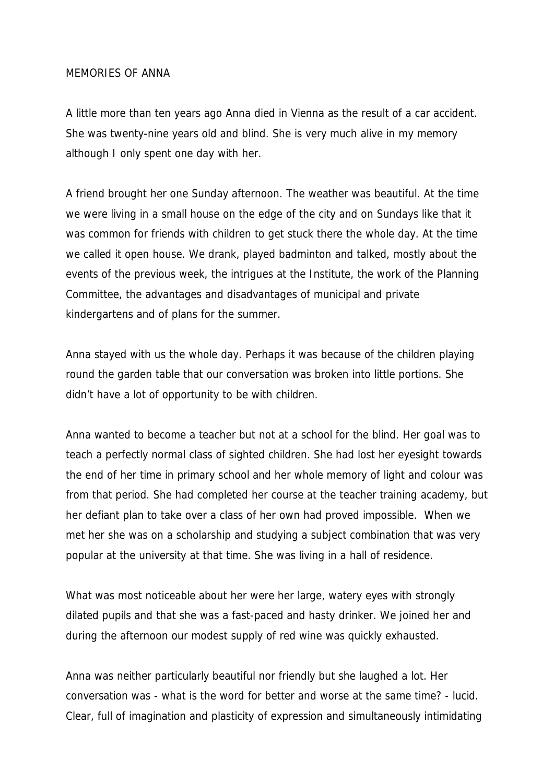## MEMORIES OF ANNA

A little more than ten years ago Anna died in Vienna as the result of a car accident. She was twenty-nine years old and blind. She is very much alive in my memory although I only spent one day with her.

A friend brought her one Sunday afternoon. The weather was beautiful. At the time we were living in a small house on the edge of the city and on Sundays like that it was common for friends with children to get stuck there the whole day. At the time we called it open house. We drank, played badminton and talked, mostly about the events of the previous week, the intrigues at the Institute, the work of the Planning Committee, the advantages and disadvantages of municipal and private kindergartens and of plans for the summer.

Anna stayed with us the whole day. Perhaps it was because of the children playing round the garden table that our conversation was broken into little portions. She didn't have a lot of opportunity to be with children.

Anna wanted to become a teacher but not at a school for the blind. Her goal was to teach a perfectly normal class of sighted children. She had lost her eyesight towards the end of her time in primary school and her whole memory of light and colour was from that period. She had completed her course at the teacher training academy, but her defiant plan to take over a class of her own had proved impossible. When we met her she was on a scholarship and studying a subject combination that was very popular at the university at that time. She was living in a hall of residence.

What was most noticeable about her were her large, watery eyes with strongly dilated pupils and that she was a fast-paced and hasty drinker. We joined her and during the afternoon our modest supply of red wine was quickly exhausted.

Anna was neither particularly beautiful nor friendly but she laughed a lot. Her conversation was - what is the word for better and worse at the same time? - lucid. Clear, full of imagination and plasticity of expression and simultaneously intimidating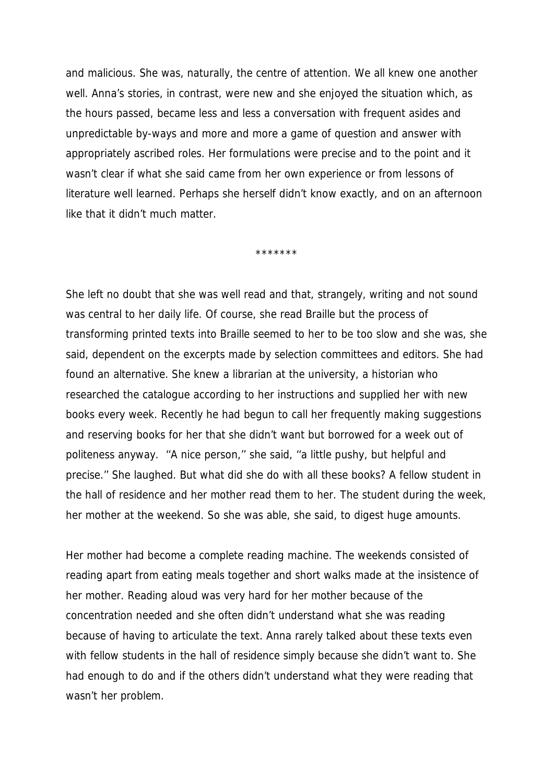and malicious. She was, naturally, the centre of attention. We all knew one another well. Anna's stories, in contrast, were new and she enjoyed the situation which, as the hours passed, became less and less a conversation with frequent asides and unpredictable by-ways and more and more a game of question and answer with appropriately ascribed roles. Her formulations were precise and to the point and it wasn't clear if what she said came from her own experience or from lessons of literature well learned. Perhaps she herself didn't know exactly, and on an afternoon like that it didn't much matter.

\*\*\*\*\*\*\*

She left no doubt that she was well read and that, strangely, writing and not sound was central to her daily life. Of course, she read Braille but the process of transforming printed texts into Braille seemed to her to be too slow and she was, she said, dependent on the excerpts made by selection committees and editors. She had found an alternative. She knew a librarian at the university, a historian who researched the catalogue according to her instructions and supplied her with new books every week. Recently he had begun to call her frequently making suggestions and reserving books for her that she didn't want but borrowed for a week out of politeness anyway. ''A nice person,'' she said, ''a little pushy, but helpful and precise.'' She laughed. But what did she do with all these books? A fellow student in the hall of residence and her mother read them to her. The student during the week, her mother at the weekend. So she was able, she said, to digest huge amounts.

Her mother had become a complete reading machine. The weekends consisted of reading apart from eating meals together and short walks made at the insistence of her mother. Reading aloud was very hard for her mother because of the concentration needed and she often didn't understand what she was reading because of having to articulate the text. Anna rarely talked about these texts even with fellow students in the hall of residence simply because she didn't want to. She had enough to do and if the others didn't understand what they were reading that wasn't her problem.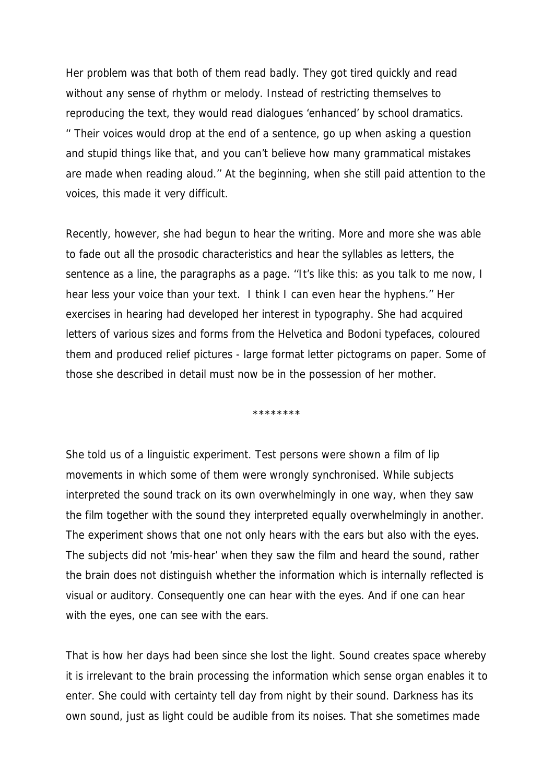Her problem was that both of them read badly. They got tired quickly and read without any sense of rhythm or melody. Instead of restricting themselves to reproducing the text, they would read dialogues 'enhanced' by school dramatics. '' Their voices would drop at the end of a sentence, go up when asking a question and stupid things like that, and you can't believe how many grammatical mistakes are made when reading aloud.'' At the beginning, when she still paid attention to the voices, this made it very difficult.

Recently, however, she had begun to hear the writing. More and more she was able to fade out all the prosodic characteristics and hear the syllables as letters, the sentence as a line, the paragraphs as a page. ''It's like this: as you talk to me now, I hear less your voice than your text. I think I can even hear the hyphens.'' Her exercises in hearing had developed her interest in typography. She had acquired letters of various sizes and forms from the Helvetica and Bodoni typefaces, coloured them and produced relief pictures - large format letter pictograms on paper. Some of those she described in detail must now be in the possession of her mother.

\*\*\*\*\*\*\*\*

She told us of a linguistic experiment. Test persons were shown a film of lip movements in which some of them were wrongly synchronised. While subjects interpreted the sound track on its own overwhelmingly in one way, when they saw the film together with the sound they interpreted equally overwhelmingly in another. The experiment shows that one not only hears with the ears but also with the eyes. The subjects did not 'mis-hear' when they saw the film and heard the sound, rather the brain does not distinguish whether the information which is internally reflected is visual or auditory. Consequently one can hear with the eyes. And if one can hear with the eyes, one can see with the ears.

That is how her days had been since she lost the light. Sound creates space whereby it is irrelevant to the brain processing the information which sense organ enables it to enter. She could with certainty tell day from night by their sound. Darkness has its own sound, just as light could be audible from its noises. That she sometimes made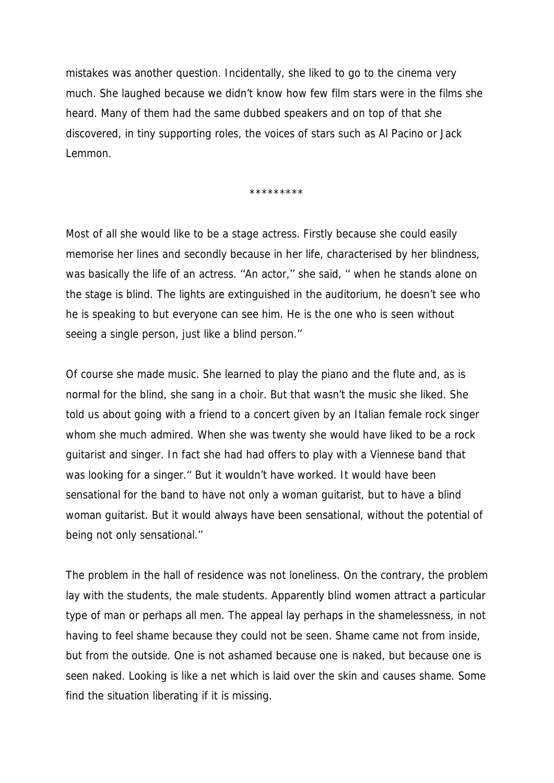mistakes was another question. Incidentally, she liked to go to the cinema very much. She laughed because we didn't know how few film stars were in the films she heard. Many of them had the same dubbed speakers and on top of that she discovered, in tiny supporting roles, the voices of stars such as Al Pacino or Jack Lemmon.

\*\*\*\*\*\*\*\*\*

Most of all she would like to be a stage actress. Firstly because she could easily memorise her lines and secondly because in her life, characterised by her blindness, was basically the life of an actress. "An actor," she said, " when he stands alone on the stage is blind. The lights are extinguished in the auditorium, he doesn't see who he is speaking to but everyone can see him. He is the one who is seen without seeing a single person, just like a blind person.''

Of course she made music. She learned to play the piano and the flute and, as is normal for the blind, she sang in a choir. But that wasn't the music she liked. She told us about going with a friend to a concert given by an Italian female rock singer whom she much admired. When she was twenty she would have liked to be a rock guitarist and singer. In fact she had had offers to play with a Viennese band that was looking for a singer.'' But it wouldn't have worked. It would have been sensational for the band to have not only a woman guitarist, but to have a blind woman guitarist. But it would always have been sensational, without the potential of being not only sensational.''

The problem in the hall of residence was not loneliness. On the contrary, the problem lay with the students, the male students. Apparently blind women attract a particular type of man or perhaps all men. The appeal lay perhaps in the shamelessness, in not having to feel shame because they could not be seen. Shame came not from inside, but from the outside. One is not ashamed because one is naked, but because one is seen naked. Looking is like a net which is laid over the skin and causes shame. Some find the situation liberating if it is missing.